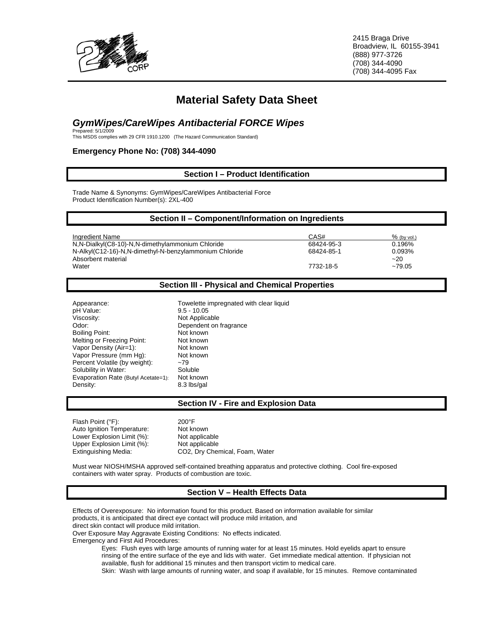

2415 Braga Drive Broadview, IL 60155-3941 (888) 977-3726 (708) 344-4090 (708) 344-4095 Fax

# **Material Safety Data Sheet**

# *GymWipes/CareWipes Antibacterial FORCE Wipes*<br>Prepared: 5/1/2009<br>This MSDS complies with 29 CFR 1910.1200 (The Hazard Communication Standard)

#### **Emergency Phone No: (708) 344-4090**

#### **Section I – Product Identification**

Trade Name & Synonyms: GymWipes/CareWipes Antibacterial Force Product Identification Number(s): 2XL-400

| Section II - Component/Information on Ingredients                            |            |                 |
|------------------------------------------------------------------------------|------------|-----------------|
| Ingredient Name                                                              | CAS#       | $%$ (by vol.)   |
| N, N-Dialkyl(C8-10)-N, N-dimethylammonium Chloride                           | 68424-95-3 | 0.196%          |
| N-Alkyl(C12-16)-N,N-dimethyl-N-benzylammonium Chloride<br>Absorbent material | 68424-85-1 | 0.093%<br>$-20$ |
| Water                                                                        | 7732-18-5  | $~10-79.05$     |

#### **Section III - Physical and Chemical Properties**

pH Value: 9.5 - 10.05<br>Viscosity: Not Applica Odor: Dependent on fragrance<br>
Boiling Point: Sales Contract Contract Not known Boiling Point: Melting or Freezing Point: Not known<br>
Vapor Density (Air=1): Not known Vapor Density (Air=1): Vapor Pressure (mm Hg): Not known Percent Volatile (by weight):  $\sim$ 79<br>Solubility in Water: Soluble Solubility in Water: Soluble Soluble<br>Evaporation Rate (Butyl Acetate=1): Not known Evaporation Rate (Butyl Acetate=1): Density: 8.3 lbs/gal

Appearance: Towelette impregnated with clear liquid Not Applicable

#### **Section IV - Fire and Explosion Data**

| Flash Point (°F):          | $200^{\circ}$ F                |
|----------------------------|--------------------------------|
| Auto Ignition Temperature: | Not known                      |
| Lower Explosion Limit (%): | Not applicable                 |
| Upper Explosion Limit (%): | Not applicable                 |
| Extinguishing Media:       | CO2, Dry Chemical, Foam, Water |

Must wear NIOSH/MSHA approved self-contained breathing apparatus and protective clothing. Cool fire-exposed containers with water spray. Products of combustion are toxic.

# **Section V – Health Effects Data**

Effects of Overexposure: No information found for this product. Based on information available for similar products, it is anticipated that direct eye contact will produce mild irritation, and

direct skin contact will produce mild irritation.

Over Exposure May Aggravate Existing Conditions: No effects indicated.

Emergency and First Aid Procedures:

Eyes: Flush eyes with large amounts of running water for at least 15 minutes. Hold eyelids apart to ensure rinsing of the entire surface of the eye and lids with water. Get immediate medical attention. If physician not available, flush for additional 15 minutes and then transport victim to medical care.

Skin: Wash with large amounts of running water, and soap if available, for 15 minutes. Remove contaminated